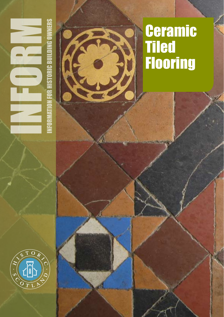

# É

# **Ceramic** Tiled Flooring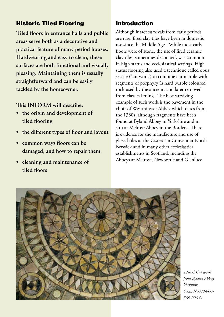# Historic Tiled Flooring

**Tiled floors in entrance halls and public areas serve both as a decorative and practical feature of many period houses. Hardwearing and easy to clean, these surfaces are both functional and visually pleasing. Maintaining them is usually straightforward and can be easily tackled by the homeowner.** 

**This INFORM will describe:**

- **• the origin and development of tiled flooring**
- **• the different types of floor and layout**
- **• common ways floors can be damaged, and how to repair them**
- **• cleaning and maintenance of tiled floors**

# Introduction

Although intact survivals from early periods are rare, fired clay tiles have been in domestic use since the Middle Ages. While most early floors were of stone, the use of fired ceramic clay tiles, sometimes decorated, was common in high status and ecclesiastical settings. High status flooring also used a technique called opus sectile ('cut work') to combine cut marble with segments of porphyry (a hard purple coloured rock used by the ancients and later removed from classical ruins). The best surviving example of such work is the pavement in the choir of Westminster Abbey which dates from the 1380s, although fragments have been found at Byland Abbey in Yorkshire and in situ at Melrose Abbey in the Borders. There is evidence for the manufacture and use of glazed tiles at the Cistercian Convent at North Berwick and in many other ecclesiastical establishments in Scotland, including the Abbeys at Melrose, Newbottle and Glenluce.



*12th C Cut work from Byland Abbey, Yorkshire. Scran No000-000- 569-006-C*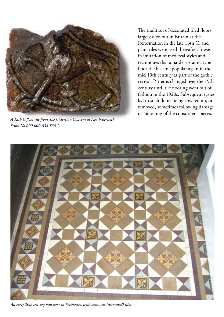

*A 12th C floor tile from The Cistercian Convent at North Berwick Scran No 000-000-638-850-C* 

The tradition of decorated tiled floors largely died out in Britain at the Reformation in the late 16th C, and plain tiles were used thereafter. It was in imitation of medieval styles and techniques that a harder ceramic type floor tile became popular again in the mid 19th century as part of the gothic revival. Patterns changed over the 19th century until tile flooring went out of fashion in the 1920s. Subsequent tastes led to such floors being covered up, or removed, sometimes following damage or loosening of the constituent pieces.



*An early 20th century hall floor in Perthshire, with encaustic (decorated) tiles*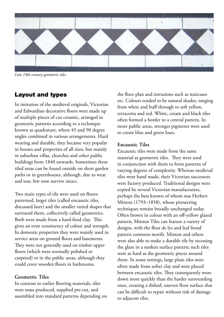

*Late 19th century geometric tiles.*

## Layout and types

In imitation of the medieval originals, Victorian and Edwardian decorative floors were made up of multiple pieces of cut ceramic, arranged in geometric patterns according to a technique known as quadrature, where 45 and 90 degree angles combined in various arrangements. Hard wearing and durable, they became very popular in houses and properties of all sizes, but mainly in suburban villas, churches and other public buildings from 1840 onwards. Sometimes these tiled areas can be found outside on short garden paths or in greenhouses, although, due to wear and tear, few now survive intact.

Two main types of tile were used on floors: patterned, larger tiles (called encaustic tiles, discussed later) and the smaller varied shapes that surround them, collectively called geometrics. Both were made from a hard-fired clay. This gives an even consistency of colour and strength. In domestic properties they were mainly used in service areas on ground floors and basements. They were not generally used on timber upper floors (which were normally polished or carpeted) or in the public areas, although they could cover wooden floors in bathrooms.

#### **Geometric Tiles**

In contrast to earlier flooring materials, tiles were mass produced, supplied pre-cut, and assembled into standard patterns depending on

the floor plan and intrusions such as staircases etc. Colours tended to be natural shades, ranging from white and buff through to soft yellow, terracotta and red. White, cream and black tiles often formed a border to a central pattern. In more public areas, stronger pigments were used to create blue and green hues.

#### **Encaustic Tiles**

Encaustic tiles were made from the same material as geometric tiles. They were used in conjunction with them to form patterns of varying degrees of complexity. Whereas medieval tiles were hand made, their Victorian successors were factory produced. Traditional designs were copied by several Victorian manufacturers, perhaps the best known of whom was Herbert Minton (1793–1858), whose pioneering techniques remain broadly unchanged today. Often brown in colour with an off-yellow glazed pattern, Minton Tiles can feature a variety of designs, with the fleur de lys and leaf frond pattern common motifs. Minton and others were also able to make a durable tile by recessing the glaze in a sunken surface pattern; such tiles were as hard as the geometric pieces around them. In some settings, large plain tiles were often made from softer clay and were placed between encaustic tiles. They consequently wore down more quickly than the harder surrounding ones, creating a dished, uneven floor surface that can be difficult to repair without risk of damage to adjacent tiles.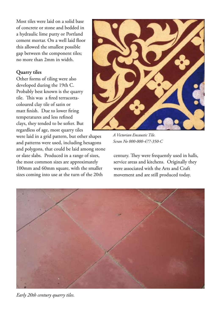Most tiles were laid on a solid base of concrete or stone and bedded in a hydraulic lime putty or Portland cement mortar. On a well laid floor this allowed the smallest possible gap between the component tiles; no more than 2mm in width.

#### **Quarry tiles**

Other forms of tiling were also developed during the 19th C. Probably best known is the quarry tile. This was a fired terracottacoloured clay tile of satin or matt finish. Due to lower firing temperatures and less refined clays, they tended to be softer. But regardless of age, most quarry tiles

were laid in a grid pattern, but other shapes and patterns were used, including hexagons and polygons, that could be laid among stone or slate slabs. Produced in a range of sizes, the most common sizes are approximately 100mm and 60mm square, with the smaller sizes coming into use at the turn of the 20th



*A Victorian Encaustic Tile. Scran No 000-000-477-350-C*

century. They were frequently used in halls, service areas and kitchens. Originally they were associated with the Arts and Craft movement and are still produced today.



*Early 20th century quarry tiles.*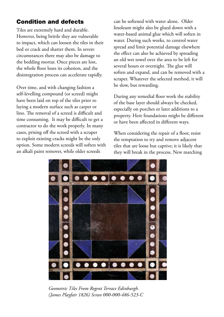# Condition and defects

Tiles are extremely hard and durable. However, being brittle they are vulnerable to impact, which can loosen the tiles in their bed or crack and shatter them. In severe circumstances there may also be damage to the bedding mortar. Once pieces are lost, the whole floor loses its cohesion, and the disintegration process can accelerate rapidly.

Over time, and with changing fashion a self-levelling compound (or screed) might have been laid on top of the tiles prior to laying a modern surface such as carpet or lino. The removal of a screed is difficult and time consuming. It may be difficult to get a contractor to do the work properly. In many cases, prising off the screed with a scraper to exploit existing cracks might be the only option. Some modern screeds will soften with an alkali paint remover, while older screeds

can be softened with water alone. Older linoleum might also be glued down with a water-based animal glue which will soften in water. During such works, to control water spread and limit potential damage elsewhere the effect can also be achieved by spreading an old wet towel over the area to be left for several hours or overnight. The glue will soften and expand, and can be removed with a scraper. Whatever the selected method, it will be slow, but rewarding.

During any remedial floor work the stability of the base layer should always be checked, especially on porches or later additions to a property. Here foundations might be different or have been affected in different ways.

When considering the repair of a floor, resist the temptation to try and remove adjacent tiles that are loose but captive; it is likely that they will break in the process. New matching



*Geometric Tiles From Regent Terrace Edinburgh. (James Playfair 1826) Scran 000-000-486-523-C*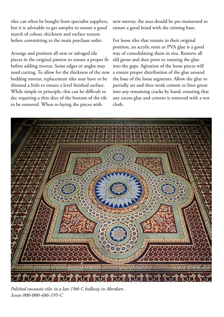tiles can often be bought from specialist suppliers, but it is advisable to get samples to ensure a good match of colour, thickness and surface texture before committing to the main purchase order.

Arrange and position all new or salvaged tile pieces in the original pattern to ensure a proper fit before adding mortar. Some edges or angles may need cutting. To allow for the thickness of the new bedding mortar, replacement tiles may have to be thinned a little to ensure a level finished surface. While simple in principle, this can be difficult to do; requiring a thin slice of the bottom of the tile to be removed. When re-laying the pieces with

new mortar, the area should be pre-moistened to ensure a good bond with the existing base.

For loose tiles that remain in their original position, an acrylic resin or PVA glue is a good way of consolidating them in situ. Remove all old grout and dust prior to running the glue into the gaps. Agitation of the loose pieces will a ensure proper distribution of the glue around the base of the loose segments. Allow the glue to partially set and then work cement or lime grout into any remaining cracks by hand, ensuring that any excess glue and cement is removed with a wet cloth.



*Polished encaustic tiles in a late 19th C hallway in Aberdeen . Scran 000-000-486-195-C*